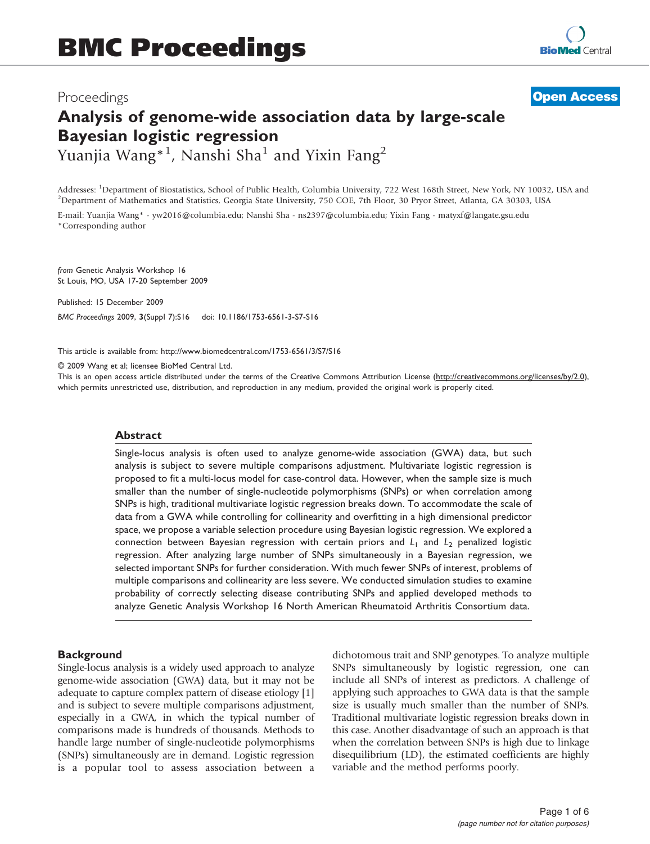## Proceedings

**[Open Access](http://www.biomedcentral.com/info/about/charter/)**

# Analysis of genome-wide association data by large-scale Bayesian logistic regression Yuanjia Wang\*<sup>1</sup>, Nanshi Sha<sup>1</sup> and Yixin Fang<sup>2</sup>

Addresses: <sup>1</sup>Department of Biostatistics, School of Public Health, Columbia University, 722 West 168th Street, New York, NY 10032, USA and<br><sup>2</sup>Department of Mathematics and Statistics, Coorgia State University, 750 COE, 7t <sup>2</sup>Department of Mathematics and Statistics, Georgia State University, 750 COE, 7th Floor, 30 Pryor Street, Atlanta, GA 30303, USA

E-mail: Yuanjia Wang\* - [yw2016@columbia.edu;](mailto:yw2016@columbia.edu) Nanshi Sha - [ns2397@columbia.edu;](mailto:ns2397@columbia.edu) Yixin Fang - [matyxf@langate.gsu.edu](mailto:matyxf@langate.gsu.edu) \*Corresponding author

from Genetic Analysis Workshop 16 St Louis, MO, USA 17-20 September 2009

Published: 15 December 2009 BMC Proceedings 2009, 3(Suppl 7):S16 doi: 10.1186/1753-6561-3-S7-S16

This article is available from: http://www.biomedcentral.com/1753-6561/3/S7/S16

© 2009 Wang et al; licensee BioMed Central Ltd.

This is an open access article distributed under the terms of the Creative Commons Attribution License [\(http://creativecommons.org/licenses/by/2.0\)](http://creativecommons.org/licenses/by/2.0), which permits unrestricted use, distribution, and reproduction in any medium, provided the original work is properly cited.

#### Abstract

Single-locus analysis is often used to analyze genome-wide association (GWA) data, but such analysis is subject to severe multiple comparisons adjustment. Multivariate logistic regression is proposed to fit a multi-locus model for case-control data. However, when the sample size is much smaller than the number of single-nucleotide polymorphisms (SNPs) or when correlation among SNPs is high, traditional multivariate logistic regression breaks down. To accommodate the scale of data from a GWA while controlling for collinearity and overfitting in a high dimensional predictor space, we propose a variable selection procedure using Bayesian logistic regression. We explored a connection between Bayesian regression with certain priors and  $L_1$  and  $L_2$  penalized logistic regression. After analyzing large number of SNPs simultaneously in a Bayesian regression, we selected important SNPs for further consideration. With much fewer SNPs of interest, problems of multiple comparisons and collinearity are less severe. We conducted simulation studies to examine probability of correctly selecting disease contributing SNPs and applied developed methods to analyze Genetic Analysis Workshop 16 North American Rheumatoid Arthritis Consortium data.

#### **Background**

Single-locus analysis is a widely used approach to analyze genome-wide association (GWA) data, but it may not be adequate to capture complex pattern of disease etiology [[1\]](#page-5-0) and is subject to severe multiple comparisons adjustment, especially in a GWA, in which the typical number of comparisons made is hundreds of thousands. Methods to handle large number of single-nucleotide polymorphisms (SNPs) simultaneously are in demand. Logistic regression is a popular tool to assess association between a dichotomous trait and SNP genotypes. To analyze multiple SNPs simultaneously by logistic regression, one can include all SNPs of interest as predictors. A challenge of applying such approaches to GWA data is that the sample size is usually much smaller than the number of SNPs. Traditional multivariate logistic regression breaks down in this case. Another disadvantage of such an approach is that when the correlation between SNPs is high due to linkage disequilibrium (LD), the estimated coefficients are highly variable and the method performs poorly.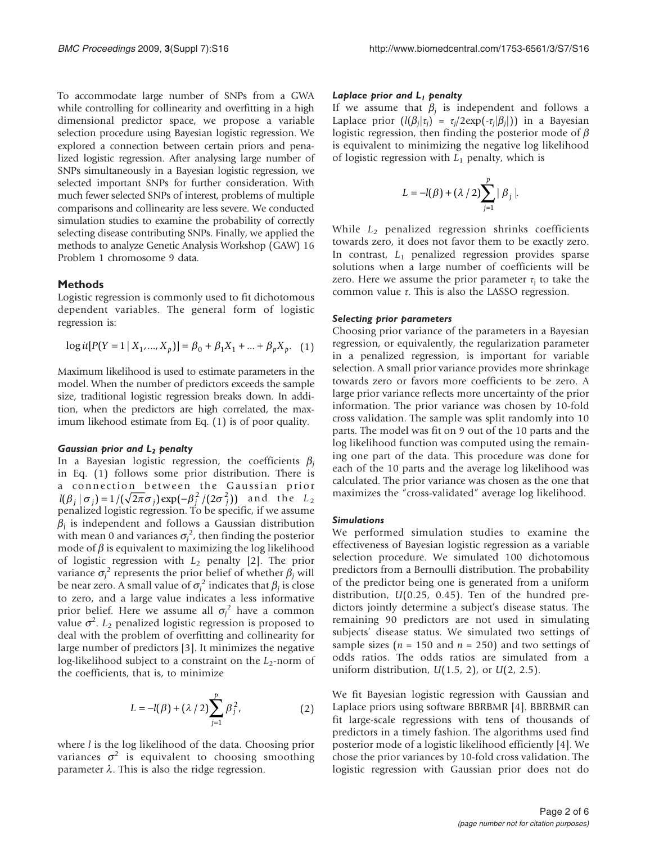To accommodate large number of SNPs from a GWA while controlling for collinearity and overfitting in a high dimensional predictor space, we propose a variable selection procedure using Bayesian logistic regression. We explored a connection between certain priors and penalized logistic regression. After analysing large number of SNPs simultaneously in a Bayesian logistic regression, we selected important SNPs for further consideration. With much fewer selected SNPs of interest, problems of multiple comparisons and collinearity are less severe. We conducted simulation studies to examine the probability of correctly selecting disease contributing SNPs. Finally, we applied the methods to analyze Genetic Analysis Workshop (GAW) 16 Problem 1 chromosome 9 data.

#### Methods

Logistic regression is commonly used to fit dichotomous dependent variables. The general form of logistic regression is:

$$
\log it[P(Y = 1 | X_1, ..., X_p)] = \beta_0 + \beta_1 X_1 + ... + \beta_p X_p. \quad (1)
$$

Maximum likelihood is used to estimate parameters in the model. When the number of predictors exceeds the sample size, traditional logistic regression breaks down. In addition, when the predictors are high correlated, the maximum likehood estimate from Eq. (1) is of poor quality.

#### Gaussian prior and  $L_2$  penalty

In a Bayesian logistic regression, the coefficients  $\beta_i$ in Eq. (1) follows some prior distribution. There is a connection between the Gaussian prior  $l(\beta_i | \sigma_j) = 1/(\sqrt{2\pi} \sigma_i) \exp(-\beta_i^2/(2\sigma_i^2))$  and the  $L_2$ penalized logistic regression. To be specific, if we assume  $\beta_i$  is independent and follows a Gaussian distribution with mean 0 and variances  $\sigma_j^2$ , then finding the posterior mode of  $\beta$  is equivalent to maximizing the log likelihood of logistic regression with  $L_2$  penalty [\[2\]](#page-5-0). The prior variance  $\sigma_j^2$  represents the prior belief of whether  $\beta_j$  will be near zero. A small value of  $\sigma_j^2$  indicates that  $\beta_j$  is close to zero, and a large value indicates a less informative prior belief. Here we assume all  $\sigma_j^2$  have a common value  $\sigma^2$ .  $L_2$  penalized logistic regression is proposed to deal with the problem of overfitting and collinearity for large number of predictors [[3\]](#page-5-0). It minimizes the negative log-likelihood subject to a constraint on the  $L_2$ -norm of the coefficients, that is, to minimize

$$
L = -l(\beta) + (\lambda/2) \sum_{j=1}^{p} \beta_j^2,
$$
 (2)

where  $l$  is the log likelihood of the data. Choosing prior variances  $\sigma^2$  is equivalent to choosing smoothing parameter  $\lambda$ . This is also the ridge regression.

#### Laplace prior and L<sub>1</sub> penalty

If we assume that  $\beta_i$  is independent and follows a Laplace prior  $(l(\beta_i|\tau_j) = \tau_j/2\exp(-\tau_j|\beta_j|))$  in a Bayesian logistic regression, then finding the posterior mode of  $\beta$ is equivalent to minimizing the negative log likelihood of logistic regression with  $L_1$  penalty, which is

$$
L = -l(\beta) + (\lambda/2) \sum_{j=1}^p |\beta_j|.
$$

While  $L_2$  penalized regression shrinks coefficients towards zero, it does not favor them to be exactly zero. In contrast,  $L_1$  penalized regression provides sparse solutions when a large number of coefficients will be zero. Here we assume the prior parameter  $\tau_i$  to take the common value τ. This is also the LASSO regression.

#### Selecting prior parameters

Choosing prior variance of the parameters in a Bayesian regression, or equivalently, the regularization parameter in a penalized regression, is important for variable selection. A small prior variance provides more shrinkage towards zero or favors more coefficients to be zero. A large prior variance reflects more uncertainty of the prior information. The prior variance was chosen by 10-fold cross validation. The sample was split randomly into 10 parts. The model was fit on 9 out of the 10 parts and the log likelihood function was computed using the remaining one part of the data. This procedure was done for each of the 10 parts and the average log likelihood was calculated. The prior variance was chosen as the one that maximizes the "cross-validated" average log likelihood.

#### Simulations

We performed simulation studies to examine the effectiveness of Bayesian logistic regression as a variable selection procedure. We simulated 100 dichotomous predictors from a Bernoulli distribution. The probability of the predictor being one is generated from a uniform distribution, U(0.25, 0.45). Ten of the hundred predictors jointly determine a subject's disease status. The remaining 90 predictors are not used in simulating subjects' disease status. We simulated two settings of sample sizes ( $n = 150$  and  $n = 250$ ) and two settings of odds ratios. The odds ratios are simulated from a uniform distribution,  $U(1.5, 2)$ , or  $U(2, 2.5)$ .

We fit Bayesian logistic regression with Gaussian and Laplace priors using software BBRBMR [\[4\]](#page-5-0). BBRBMR can fit large-scale regressions with tens of thousands of predictors in a timely fashion. The algorithms used find posterior mode of a logistic likelihood efficiently [[4](#page-5-0)]. We chose the prior variances by 10-fold cross validation. The logistic regression with Gaussian prior does not do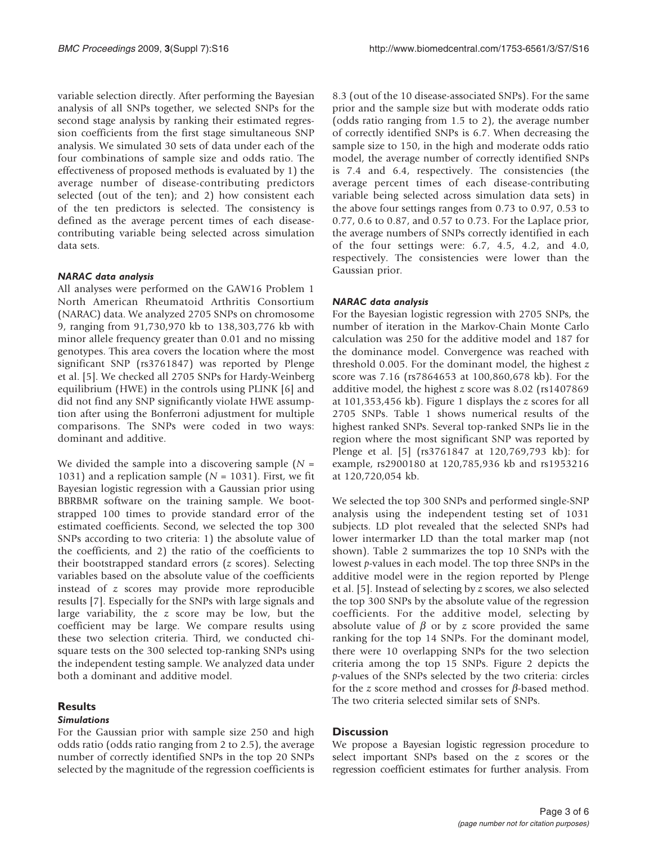variable selection directly. After performing the Bayesian analysis of all SNPs together, we selected SNPs for the second stage analysis by ranking their estimated regression coefficients from the first stage simultaneous SNP analysis. We simulated 30 sets of data under each of the four combinations of sample size and odds ratio. The effectiveness of proposed methods is evaluated by 1) the average number of disease-contributing predictors selected (out of the ten); and 2) how consistent each of the ten predictors is selected. The consistency is defined as the average percent times of each diseasecontributing variable being selected across simulation data sets.

## NARAC data analysis

All analyses were performed on the GAW16 Problem 1 North American Rheumatoid Arthritis Consortium (NARAC) data. We analyzed 2705 SNPs on chromosome 9, ranging from 91,730,970 kb to 138,303,776 kb with minor allele frequency greater than 0.01 and no missing genotypes. This area covers the location where the most significant SNP (rs3761847) was reported by Plenge et al. [[5](#page-5-0)]. We checked all 2705 SNPs for Hardy-Weinberg equilibrium (HWE) in the controls using PLINK [\[6\]](#page-5-0) and did not find any SNP significantly violate HWE assumption after using the Bonferroni adjustment for multiple comparisons. The SNPs were coded in two ways: dominant and additive.

We divided the sample into a discovering sample  $(N =$ 1031) and a replication sample ( $N = 1031$ ). First, we fit Bayesian logistic regression with a Gaussian prior using BBRBMR software on the training sample. We bootstrapped 100 times to provide standard error of the estimated coefficients. Second, we selected the top 300 SNPs according to two criteria: 1) the absolute value of the coefficients, and 2) the ratio of the coefficients to their bootstrapped standard errors (z scores). Selecting variables based on the absolute value of the coefficients instead of z scores may provide more reproducible results [[7](#page-5-0)]. Especially for the SNPs with large signals and large variability, the z score may be low, but the coefficient may be large. We compare results using these two selection criteria. Third, we conducted chisquare tests on the 300 selected top-ranking SNPs using the independent testing sample. We analyzed data under both a dominant and additive model.

## **Results**

## Simulations

For the Gaussian prior with sample size 250 and high odds ratio (odds ratio ranging from 2 to 2.5), the average number of correctly identified SNPs in the top 20 SNPs selected by the magnitude of the regression coefficients is 8.3 (out of the 10 disease-associated SNPs). For the same prior and the sample size but with moderate odds ratio (odds ratio ranging from 1.5 to 2), the average number of correctly identified SNPs is 6.7. When decreasing the sample size to 150, in the high and moderate odds ratio model, the average number of correctly identified SNPs is 7.4 and 6.4, respectively. The consistencies (the average percent times of each disease-contributing variable being selected across simulation data sets) in the above four settings ranges from 0.73 to 0.97, 0.53 to 0.77, 0.6 to 0.87, and 0.57 to 0.73. For the Laplace prior, the average numbers of SNPs correctly identified in each of the four settings were: 6.7, 4.5, 4.2, and 4.0, respectively. The consistencies were lower than the Gaussian prior.

## NARAC data analysis

For the Bayesian logistic regression with 2705 SNPs, the number of iteration in the Markov-Chain Monte Carlo calculation was 250 for the additive model and 187 for the dominance model. Convergence was reached with threshold 0.005. For the dominant model, the highest z score was 7.16 (rs7864653 at 100,860,678 kb). For the additive model, the highest z score was 8.02 (rs1407869 at 101,353,456 kb). [Figure 1](#page-3-0) displays the z scores for all 2705 SNPs. [Table 1](#page-3-0) shows numerical results of the highest ranked SNPs. Several top-ranked SNPs lie in the region where the most significant SNP was reported by Plenge et al. [\[5\]](#page-5-0) (rs3761847 at 120,769,793 kb): for example, rs2900180 at 120,785,936 kb and rs1953216 at 120,720,054 kb.

We selected the top 300 SNPs and performed single-SNP analysis using the independent testing set of 1031 subjects. LD plot revealed that the selected SNPs had lower intermarker LD than the total marker map (not shown). [Table 2](#page-3-0) summarizes the top 10 SNPs with the lowest p-values in each model. The top three SNPs in the additive model were in the region reported by Plenge et al. [\[5\]](#page-5-0). Instead of selecting by z scores, we also selected the top 300 SNPs by the absolute value of the regression coefficients. For the additive model, selecting by absolute value of  $\beta$  or by z score provided the same ranking for the top 14 SNPs. For the dominant model, there were 10 overlapping SNPs for the two selection criteria among the top 15 SNPs. [Figure 2](#page-4-0) depicts the p-values of the SNPs selected by the two criteria: circles for the z score method and crosses for  $\beta$ -based method. The two criteria selected similar sets of SNPs.

## **Discussion**

We propose a Bayesian logistic regression procedure to select important SNPs based on the z scores or the regression coefficient estimates for further analysis. From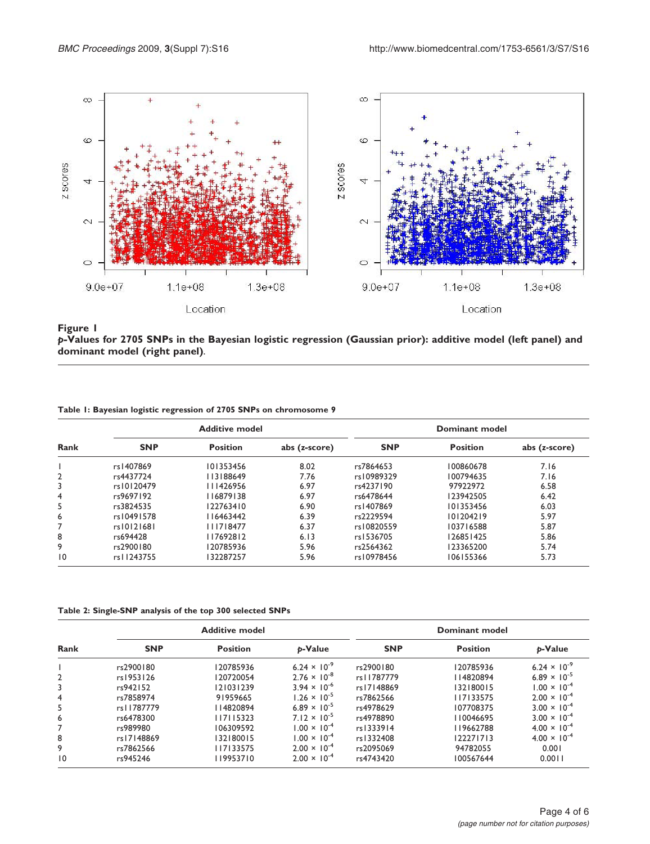<span id="page-3-0"></span>

p-Values for 2705 SNPs in the Bayesian logistic regression (Gaussian prior): additive model (left panel) and dominant model (right panel).

|  |  |  | Table I: Bayesian logistic regression of 2705 SNPs on chromosome 9 |  |
|--|--|--|--------------------------------------------------------------------|--|
|  |  |  |                                                                    |  |

|                |            | <b>Additive model</b> |               | Dominant model |                 |               |  |
|----------------|------------|-----------------------|---------------|----------------|-----------------|---------------|--|
| <b>Rank</b>    | <b>SNP</b> | <b>Position</b>       | abs (z-score) | <b>SNP</b>     | <b>Position</b> | abs (z-score) |  |
|                | rs1407869  | 101353456             | 8.02          | rs7864653      | 100860678       | 7.16          |  |
| $\overline{2}$ | rs4437724  | 113188649             | 7.76          | rs10989329     | 100794635       | 7.16          |  |
| 3              | rs10120479 | 111426956             | 6.97          | rs4237190      | 97922972        | 6.58          |  |
| $\overline{4}$ | rs9697192  | 116879138             | 6.97          | rs6478644      | 123942505       | 6.42          |  |
| 5              | rs3824535  | 122763410             | 6.90          | rs1407869      | 101353456       | 6.03          |  |
| 6              | rs10491578 | 116463442             | 6.39          | rs2229594      | 101204219       | 5.97          |  |
|                | rs10121681 | 111718477             | 6.37          | rs10820559     | 103716588       | 5.87          |  |
| 8              | rs694428   | 117692812             | 6.13          | rs1536705      | 126851425       | 5.86          |  |
| 9              | rs2900180  | 120785936             | 5.96          | rs2564362      | 123365200       | 5.74          |  |
| 10             | rs11243755 | 132287257             | 5.96          | rs10978456     | 106155366       | 5.73          |  |

Table 2: Single-SNP analysis of the top 300 selected SNPs

| Rank            |            | <b>Additive model</b> |                                | Dominant model |                 |                                |  |
|-----------------|------------|-----------------------|--------------------------------|----------------|-----------------|--------------------------------|--|
|                 | <b>SNP</b> | <b>Position</b>       | <b>p-Value</b>                 | <b>SNP</b>     | <b>Position</b> | p-Value                        |  |
|                 | rs2900180  | 120785936             | 6.24 $\times$ 10 <sup>-9</sup> | rs2900180      | 120785936       | 6.24 $\times$ 10 <sup>-9</sup> |  |
| $\overline{2}$  | rs1953126  | 120720054             | $2.76 \times 10^{-8}$          | rs11787779     | 114820894       | 6.89 $\times$ 10 <sup>-5</sup> |  |
| 3               | rs942152   | 121031239             | $3.94 \times 10^{-6}$          | rs17148869     | 132180015       | $1.00 \times 10^{-4}$          |  |
| 4               | rs7858974  | 91959665              | $1.26 \times 10^{-5}$          | rs7862566      | 117133575       | $2.00 \times 10^{-4}$          |  |
| 5               | rs11787779 | 114820894             | $6.89 \times 10^{-5}$          | rs4978629      | 107708375       | $3.00 \times 10^{-4}$          |  |
| 6               | rs6478300  | 117115323             | $7.12 \times 10^{-5}$          | rs4978890      | 110046695       | $3.00 \times 10^{-4}$          |  |
| 7               | rs989980   | 106309592             | $1.00 \times 10^{-4}$          | rs1333914      | 119662788       | $4.00 \times 10^{-4}$          |  |
| 8               | rs17148869 | 132180015             | $1.00 \times 10^{-4}$          | rs1332408      | 122271713       | $4.00 \times 10^{-4}$          |  |
| 9               | rs7862566  | 117133575             | $2.00 \times 10^{-4}$          | rs2095069      | 94782055        | 0.001                          |  |
| $\overline{10}$ | rs945246   | 119953710             | $2.00 \times 10^{-4}$          | rs4743420      | 100567644       | 0.0011                         |  |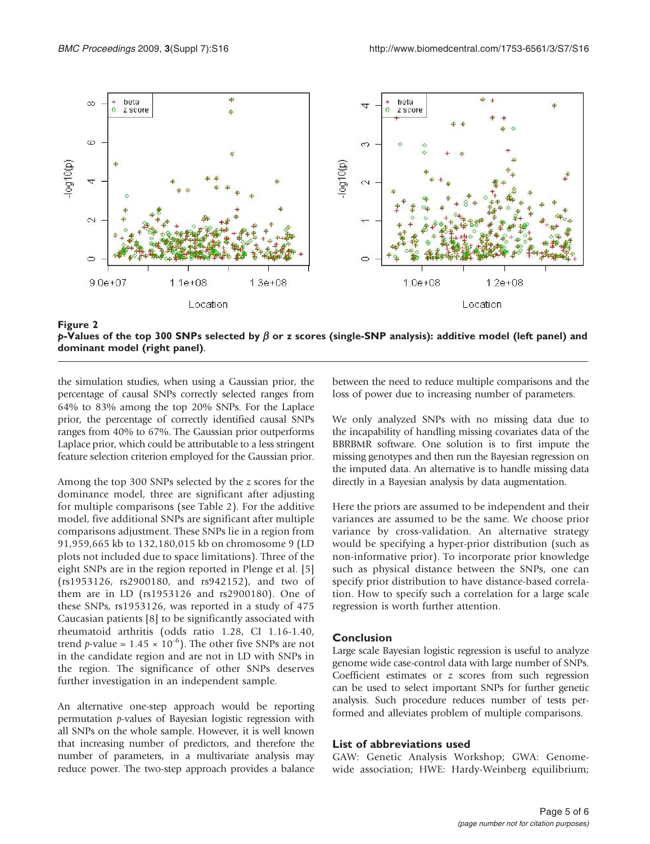<span id="page-4-0"></span>

Figure 2 p-Values of the top 300 SNPs selected by  $\beta$  or z scores (single-SNP analysis): additive model (left panel) and dominant model (right panel).

the simulation studies, when using a Gaussian prior, the percentage of causal SNPs correctly selected ranges from 64% to 83% among the top 20% SNPs. For the Laplace prior, the percentage of correctly identified causal SNPs ranges from 40% to 67%. The Gaussian prior outperforms Laplace prior, which could be attributable to a less stringent feature selection criterion employed for the Gaussian prior.

Among the top 300 SNPs selected by the z scores for the dominance model, three are significant after adjusting for multiple comparisons (see [Table 2\)](#page-3-0). For the additive model, five additional SNPs are significant after multiple comparisons adjustment. These SNPs lie in a region from 91,959,665 kb to 132,180,015 kb on chromosome 9 (LD plots not included due to space limitations). Three of the eight SNPs are in the region reported in Plenge et al. [\[5\]](#page-5-0) (rs1953126, rs2900180, and rs942152), and two of them are in LD (rs1953126 and rs2900180). One of these SNPs, rs1953126, was reported in a study of 475 Caucasian patients [[8](#page-5-0)] to be significantly associated with rheumatoid arthritis (odds ratio 1.28, CI 1.16-1.40, trend *p*-value =  $1.45 \times 10^{-6}$ ). The other five SNPs are not in the candidate region and are not in LD with SNPs in the region. The significance of other SNPs deserves further investigation in an independent sample.

An alternative one-step approach would be reporting permutation p-values of Bayesian logistic regression with all SNPs on the whole sample. However, it is well known that increasing number of predictors, and therefore the number of parameters, in a multivariate analysis may reduce power. The two-step approach provides a balance

between the need to reduce multiple comparisons and the loss of power due to increasing number of parameters.

We only analyzed SNPs with no missing data due to the incapability of handling missing covariates data of the BBRBMR software. One solution is to first impute the missing genotypes and then run the Bayesian regression on the imputed data. An alternative is to handle missing data directly in a Bayesian analysis by data augmentation.

Here the priors are assumed to be independent and their variances are assumed to be the same. We choose prior variance by cross-validation. An alternative strategy would be specifying a hyper-prior distribution (such as non-informative prior). To incorporate prior knowledge such as physical distance between the SNPs, one can specify prior distribution to have distance-based correlation. How to specify such a correlation for a large scale regression is worth further attention.

## Conclusion

Large scale Bayesian logistic regression is useful to analyze genome wide case-control data with large number of SNPs. Coefficient estimates or z scores from such regression can be used to select important SNPs for further genetic analysis. Such procedure reduces number of tests performed and alleviates problem of multiple comparisons.

## List of abbreviations used

GAW: Genetic Analysis Workshop; GWA: Genomewide association; HWE: Hardy-Weinberg equilibrium;